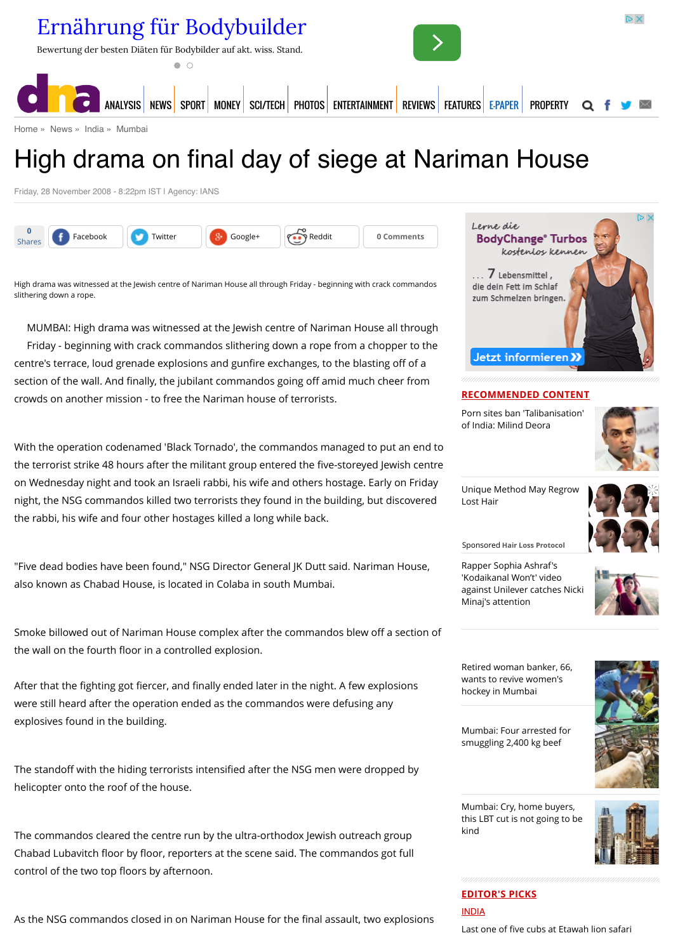

[Home](http://www.dnaindia.com/) » [News](http://www.dnaindia.com/news) » [India](http://www.dnaindia.com/india) » [Mumbai](http://www.dnaindia.com/mumbai)

# High drama on final day of siege at Nariman House

Friday, 28 November 2008 - 8:22pm IST | Agency: IANS



High drama was witnessed at the Jewish centre of Nariman House all through Friday - beginning with crack commandos slithering down a rope.

MUMBAI: High drama was witnessed at the Jewish centre of Nariman House all through Friday - beginning with crack commandos slithering down a rope from a chopper to the centre's terrace, loud grenade explosions and gunfire exchanges, to the blasting off of a section of the wall. And finally, the jubilant commandos going off amid much cheer from crowds on another mission - to free the Nariman house of terrorists.

With the operation codenamed 'Black Tornado', the commandos managed to put an end to the terrorist strike 48 hours after the militant group entered the five-storeyed Jewish centre on Wednesday night and took an Israeli rabbi, his wife and others hostage. Early on Friday night, the NSG commandos killed two terrorists they found in the building, but discovered the rabbi, his wife and four other hostages killed a long while back.

"Five dead bodies have been found," NSG Director General JK Dutt said. Nariman House, also known as Chabad House, is located in Colaba in south Mumbai.

Smoke billowed out of Nariman House complex after the commandos blew off a section of the wall on the fourth floor in a controlled explosion.

After that the fighting got fiercer, and finally ended later in the night. A few explosions were still heard after the operation ended as the commandos were defusing any explosives found in the building.

The standoff with the hiding terrorists intensified after the NSG men were dropped by helicopter onto the roof of the house.

The commandos cleared the centre run by the ultra-orthodox Jewish outreach group Chabad Lubavitch floor by floor, reporters at the scene said. The commandos got full control of the two top floors by afternoon.

As the NSG commandos closed in on Nariman House for the final assault, two explosions



## **RECOMMENDED CONTENT**

[Porn sites ban 'Talibanisation'](http://www.dnaindia.com/india/report-porn-sites-ban-talibanisation-of-india-milind-deora-2110734) of India: Milind Deora



[Unique Method May Regrow](https://beap.gemini.yahoo.com/mbclk?bv=1.0.0&es=Xuu469YGIS8qDjHgq7pznn_iVWx7UMLHYqyiyIOdus.sBG9Af3ptruPYHdYTZ3Tad8GnBXsFg.xg6gswM2QcATum5wUPQxRUh.I0jNv05p_jZ.Con8xOOES503FkQVMD_dtmJ.VsoK8mDJysI_pTU5VYmRexHIxYwX5Z9m3XaQ0Dfu0_7OQYuto_R7UCr1HCx2mjVljKclKheMslCLV4Hly6H45_3ToogTnBYgG.rdVpZGNPOK8Aydkr10K.39x163YvXyLRcLMp2boR2BAPKm5skp1j4OhDYF_nYnLO4KQOecVUcGdn6oX3ugNMuoxUJZbjA57wum1hSVGuTdpAuYq9aXhvrIWwgQMtAkEPM8hY21HBHEGTite2AxPBP5IyjC9ywjQOJ1xkKcZRBCfxfX2SoVHu.LGi2nJkvACnWycdsDzN5d7XdzdfG7Woh_QZqZu8f8_CRWZ_YBlnm.NRcFhBZ57_QQ8Cgv6YzYa9LMoP_zDC3xTJ94KxX3E44RFBuxQHkfW.A1f6TMve7SJh.0xaJv0-%26lp=) Lost Hair

Sponsored **Hair Loss Protocol**



Rapper Sophia Ashraf's 'Kodaikanal Won't' video [against Unilever catches Nicki](http://www.dnaindia.com/india/report-rapper-sophia-ashraf-s-kodaikanal-won-t-video-against-unilever-catches-nicki-minaj-s-attention-2110652) Minaj's attention



[Retired woman banker, 66,](http://www.dnaindia.com/mumbai/report-retired-woman-banker-66-wants-to-revive-women-s-hockey-in-mumbai-2110524) wants to revive women's hockey in Mumbai



[Mumbai: Four arrested for](http://www.dnaindia.com/mumbai/report-mumbai-four-arrested-for-smuggling-2400-kg-beef-2110530) smuggling 2,400 kg beef

Mumbai: Cry, home buyers, [this LBT cut is not going to be](http://www.dnaindia.com/mumbai/report-mumbai-cry-home-buyers-this-lbt-cut-is-not-going-to-be-kind-2110471) kind



**EDITOR'S PICKS** [INDIA](http://www.dnaindia.com/india) Last one of fi[ve cubs at Etawah lion safari](http://www.dnaindia.com/india/report-last-one-of-five-cubs-at-etawah-lion-safari-survives-on-cow-milk-2109981)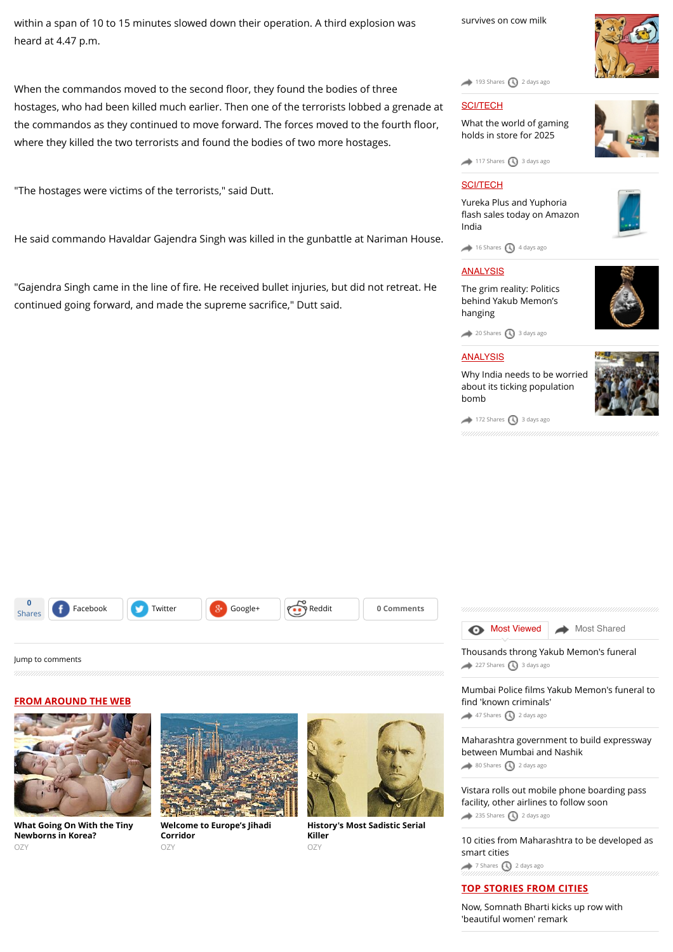within a span of 10 to 15 minutes slowed down their operation. A third explosion was heard at 4.47 p.m.

When the commandos moved to the second floor, they found the bodies of three hostages, who had been killed much earlier. Then one of the terrorists lobbed a grenade at the commandos as they continued to move forward. The forces moved to the fourth floor, where they killed the two terrorists and found the bodies of two more hostages.

"The hostages were victims of the terrorists," said Dutt.

He said commando Havaldar Gajendra Singh was killed in the gunbattle at Nariman House.

"Gajendra Singh came in the line of fire. He received bullet injuries, but did not retreat. He continued going forward, and made the supreme sacrifice," Dutt said.

## $\rightarrow$  [193 Shares](http://www.dnaindia.com/mumbai/report-high-drama-on-final-day-of-siege-at-nariman-house-1209970#)  $\bigcirc$  [2 days ago](http://www.dnaindia.com/mumbai/report-high-drama-on-final-day-of-siege-at-nariman-house-1209970#)

[survives on cow milk](http://www.dnaindia.com/india/report-last-one-of-five-cubs-at-etawah-lion-safari-survives-on-cow-milk-2109981)

## **[SCI/TECH](http://www.dnaindia.com/scitech)**

[What the world of gaming](http://www.dnaindia.com/scitech/report-immersion-is-the-name-of-the-game-2109432) holds in store for 2025



# [SCI/TECH](http://www.dnaindia.com/scitech)

Yureka Plus and Yuphoria fl[ash sales today on Amazon](http://www.dnaindia.com/scitech/report-yureka-plus-and-yuphoria-flash-sales-today-on-amazon-india-2109499) India

 $\leftrightarrow$  [16 Shares](http://www.dnaindia.com/mumbai/report-high-drama-on-final-day-of-siege-at-nariman-house-1209970#)  $\bigcirc$  [4 days ago](http://www.dnaindia.com/mumbai/report-high-drama-on-final-day-of-siege-at-nariman-house-1209970#)

# [ANALYSIS](http://www.dnaindia.com/analysis)

[The grim reality: Politics](http://www.dnaindia.com/analysis/editorial-the-grim-reality-politics-behind-yakub-memon-s-hanging-2109659) behind Yakub Memon's hanging



 $20$  Shares  $\bigcirc$  [3 days ago](http://www.dnaindia.com/mumbai/report-high-drama-on-final-day-of-siege-at-nariman-house-1209970#)

#### **[ANALYSIS](http://www.dnaindia.com/analysis)**

[Why India needs to be worried](http://www.dnaindia.com/analysis/editorial-dnaedit-population-bomb-2109662) about its ticking population bomb



 $\rightarrow$  [172 Shares](http://www.dnaindia.com/mumbai/report-high-drama-on-final-day-of-siege-at-nariman-house-1209970#)  $\bigcirc$  [3 days ago](http://www.dnaindia.com/mumbai/report-high-drama-on-final-day-of-siege-at-nariman-house-1209970#)



[Jump to comments](http://www.dnaindia.com/mumbai/report-high-drama-on-final-day-of-siege-at-nariman-house-1209970#comments)

#### **FROM AROUND THE WEB**



**[What Going On With the Tiny](http://www.ozy.com/acumen/whats-wrong-with-all-those-little-newborns/40384?utm_source=Outbrain&utm_medium=CPC&utm_campaign=INTL%20-%20All%20Clicks%20ALL%20Devices) Newborns in Korea?** OZ)



**[Welcome to Europe's Jihadi](http://www.ozy.com/fast-forward/welcome-to-europes-jihadi-corridor/60342?utm_source=Outbrain&utm_medium=CPC&utm_campaign=INTL%20-%20All%20Clicks%20ALL%20Devices) Corridor** OZY



**[History's Most Sadistic Serial](http://www.ozy.com/flashback/historys-most-sadistic-serial-killer/40585?utm_source=Outbrain&utm_medium=CPC&utm_campaign=INTL%20-%20All%20Clicks%20ALL%20Devices) Killer** OZY

**[Most Viewed](http://www.dnaindia.com/mumbai/report-high-drama-on-final-day-of-siege-at-nariman-house-1209970#mostviewed) [Most Shared](http://www.dnaindia.com/mumbai/report-high-drama-on-final-day-of-siege-at-nariman-house-1209970#mostshared)** 

[Thousands throng Yakub Memon's funeral](http://www.dnaindia.com/mumbai/report-thousands-throng-yakub-memon-s-funeral-2109684)  $227$  Shares  $\bigcirc$  [3 days ago](http://www.dnaindia.com/mumbai/report-high-drama-on-final-day-of-siege-at-nariman-house-1209970#)

Mumbai Police fi[lms Yakub Memon's funeral to](http://www.dnaindia.com/mumbai/report-mumbai-police-films-yakub-memon-s-funeral-to-find-known-criminals-2110007) find 'known criminals'

 $47$  Shares  $\bigcirc$  [2 days ago](http://www.dnaindia.com/mumbai/report-high-drama-on-final-day-of-siege-at-nariman-house-1209970#)

[Maharashtra government to build expressway](http://www.dnaindia.com/mumbai/report-maharashtra-government-to-build-expressway-between-mumbai-and-nashik-2109935) between Mumbai and Nashik [80 Shares](http://www.dnaindia.com/mumbai/report-high-drama-on-final-day-of-siege-at-nariman-house-1209970#) [2 days ago](http://www.dnaindia.com/mumbai/report-high-drama-on-final-day-of-siege-at-nariman-house-1209970#)

[Vistara rolls out mobile phone boarding pass](http://www.dnaindia.com/mumbai/report-vistara-rolls-out-mobile-phone-boarding-pass-facility-other-airlines-to-follow-soon-2109930) facility, other airlines to follow soon [235 Shares](http://www.dnaindia.com/mumbai/report-high-drama-on-final-day-of-siege-at-nariman-house-1209970#) [2 days ago](http://www.dnaindia.com/mumbai/report-high-drama-on-final-day-of-siege-at-nariman-house-1209970#)

[10 cities from Maharashtra to be developed as](http://www.dnaindia.com/mumbai/report-10-cities-from-maharashtra-to-be-developed-as-smart-cities-2109979) smart cities

[7 Shares](http://www.dnaindia.com/mumbai/report-high-drama-on-final-day-of-siege-at-nariman-house-1209970#) **4** [2 days ago](http://www.dnaindia.com/mumbai/report-high-drama-on-final-day-of-siege-at-nariman-house-1209970#)

# **TOP STORIES FROM CITIES**

[Now, Somnath Bharti kicks up row with](http://www.dnaindia.com/delhi/report-now-somnath-bharti-kicks-up-row-with-beautiful-women-remark-2110837) 'beautiful women' remark



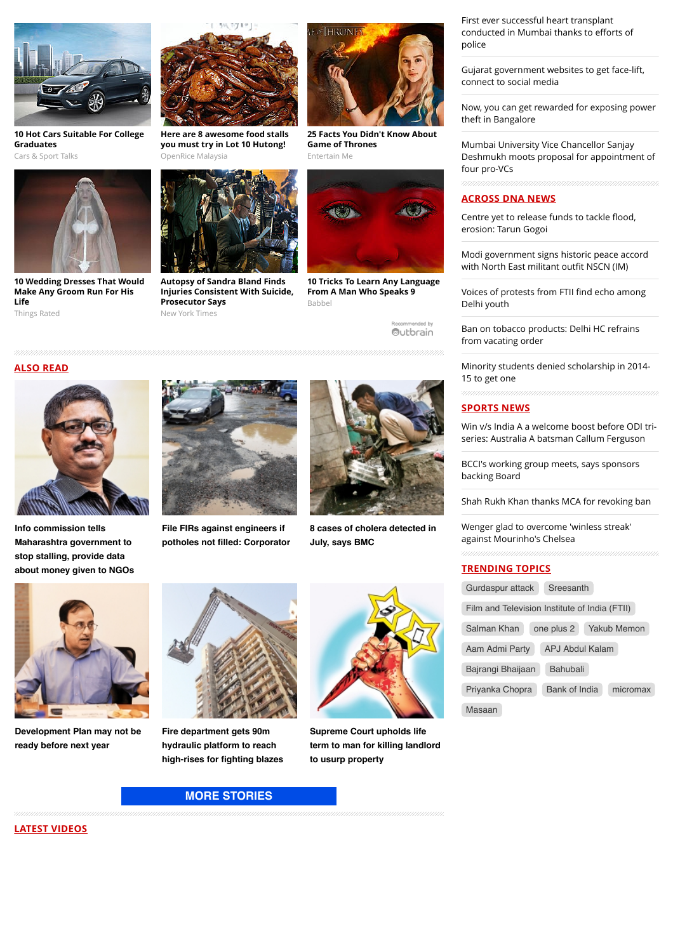

**[10 Hot Cars Suitable For College](http://fryerschat.com/10-hot-cars-suitable-for-college-graduates/) Graduates**

Cars & Sport Talks



**[10 Wedding Dresses That Would](http://thingsrated.com/2015/06/25/10-wedding-dresses-that-would-make-any-groom-run-for-his-life/?utm_source=outbrain&utm_medium=cpc&utm_campaign=outbrain_top10_DE&utm_term=4777563) Make Any Groom Run For His Life** Things Rated

**[Here are 8 awesome food stalls](http://my.openrice.com/klangvalley/article/8-must-eat-foods-at-lot-10-hutong/703?utm_campaign=article&utm_medium=cpc&utm_source=outbrain&utm_term=id-703) you must try in Lot 10 Hutong!** OpenRice Malaysia



**Autopsy of Sandra Bland Finds [Injuries Consistent With Suicide,](http://www.nytimes.com/2015/07/24/us/autopsy-of-sandra-bland-finds-injuries-consistent-with-suicide-prosecutor-says.html?WT.mc_id=2015-AUGUST-OTB-INTL_AUD_DEV-0801-0831&WT.mc_ev=click&ad-keywords=IntlAudDev) Prosecutor Says** New York Times



**[25 Facts You Didn't Know About](http://cyber-breeze.com/20-game-of-throne-facts-that-change-perception/?utm_source=Outbrain&utm_medium=referral&utm_campaign=OB-Thrones-Int-Des) Game of Thrones** Entertain Me



**[10 Tricks To Learn Any Language](http://www.babbel.com/en/magazine/10-tips-from-an-expert?slc=engmag-a1-vid-bv1-tipsandtricks-ob&utm_source=outbrain&utm_medium=cpc&utm_campaign=cd_engall_gen_cde_bv1_polyglot) From A Man Who Speaks 9** Babbel

ecommended by Outbrain

**ALSO READ**



**Info commission tells Maharashtra government to stop stalling, provide data [about money given to NGOs](http://www.dnaindia.com/mumbai/report-info-commission-tells-maharashtra-government-to-stop-stalling-provide-data-about-money-given-to-ngos-2110200)**



**[File FIRs against engineers if](http://www.dnaindia.com/mumbai/report-file-firs-against-engineers-if-potholes-not-filled-corporator-2110198) potholes not filled: Corporator**



**[8 cases of cholera detected in](http://www.dnaindia.com/mumbai/report-8-cases-of-cholera-detected-in-july-says-bmc-2110197) July, says BMC**



**[Development Plan may not be](http://www.dnaindia.com/mumbai/report-development-plan-may-not-be-ready-before-next-year-2110189) ready before next year**



**Fire department gets 90m hydraulic platform to reach [high-rises for fighting blazes](http://www.dnaindia.com/mumbai/report-fire-department-gets-90m-hydraulic-platform-to-reach-high-rises-for-fighting-blazes-2110180)**



**Supreme Court upholds life [term to man for killing landlord](http://www.dnaindia.com/mumbai/report-supreme-court-upholds-life-term-to-man-for-killing-landlord-to-usurp-property-2110170) to usurp property**

# **[MORE STORIES](http://www.dnaindia.com/mumbai)**

[First ever successful heart transplant](http://www.dnaindia.com/mumbai/report-first-ever-successful-heart-transplant-conducted-in-mumbai-thanks-to-efforts-of-police-2110832) conducted in Mumbai thanks to efforts of police

[Gujarat government websites to get face-lift,](http://www.dnaindia.com/ahmedabad/report-gujarat-government-websites-to-get-face-lift-connect-to-social-media-2110616) connect to social media

[Now, you can get rewarded for exposing power](http://www.dnaindia.com/bangalore/report-now-you-can-get-rewarded-for-exposing-power-theft-in-bangalore-2110610) theft in Bangalore

Mumbai University Vice Chancellor Sanjay [Deshmukh moots proposal for appointment of](http://www.dnaindia.com/mumbai/report-mumbai-university-vice-chancellor-sanjay-deshmukh-moots-proposal-for-appointment-of-four-pro-vcs-2110578) four pro-VCs

# **ACROSS DNA NEWS**

[Centre yet to release funds to tackle](http://www.dnaindia.com/india/report-centre-yet-to-release-funds-to-tackle-flood-erosion-tarun-gogoi-2110831) flood, erosion: Tarun Gogoi

[Modi government signs historic peace accord](http://www.dnaindia.com/india/report-pm-modi-announces-signing-of-accord-with-north-east-militant-outfit-nscnim-2110737) with North East militant outfit NSCN (IM)

[Voices of protests from FTII](http://www.dnaindia.com/india/report-voices-of-protests-from-ftii-find-echo-among-delhi-youth-2110833) find echo among Delhi youth

[Ban on tobacco products: Delhi HC refrains](http://www.dnaindia.com/india/report-ban-on-tobacco-products-delhi-hc-refrains-from-vacating-order-2110820) from vacating order

[Minority students denied scholarship in 2014-](http://www.dnaindia.com/india/report-minority-students-denied-scholarship-in-2014-15-to-get-one-2110830) 15 to get one

## **SPORTS NEWS**

[Win v/s India A a welcome boost before ODI tri](http://www.dnaindia.com/sport/report-win-vs-india-a-a-welcome-boost-before-odi-tri-series-australia-a-batsman-callum-ferguson-2110814)series: Australia A batsman Callum Ferguson

[BCCI's working group meets, says sponsors](http://www.dnaindia.com/sport/report-bcci-s-working-group-meets-says-sponsors-backing-board-2110771) backing Board

[Shah Rukh Khan thanks MCA for revoking ban](http://www.dnaindia.com/sport/report-shah-rukh-khan-thanks-mca-for-revoking-ban-2110703)

[Wenger glad to overcome 'winless streak'](http://www.dnaindia.com/sport/report-wenger-glad-to-overcome-winless-streak-against-mourinho-s-chelsea-2110668) against Mourinho's Chelsea

### **TRENDING TOPICS**

| Gurdaspur attack                              | Sreesanth       |  |             |  |  |
|-----------------------------------------------|-----------------|--|-------------|--|--|
| Film and Television Institute of India (FTII) |                 |  |             |  |  |
| Salman Khan                                   | one plus 2      |  | Yakub Memon |  |  |
| APJ Abdul Kalam<br>Aam Admi Party             |                 |  |             |  |  |
| Bajrangi Bhaijaan                             | <b>Bahubali</b> |  |             |  |  |
| Priyanka Chopra                               | Bank of India   |  | micromax    |  |  |
| Masaan                                        |                 |  |             |  |  |

**LATEST VIDEOS**